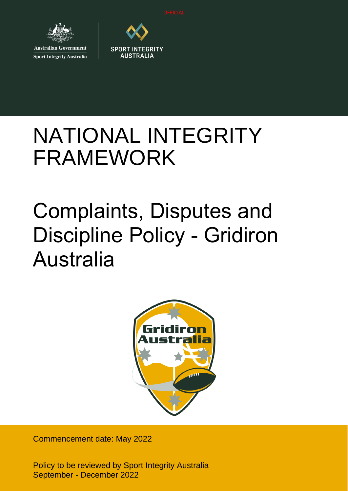

**Sport Integrity Australia** 



# NATIONAL INTEGRITY FRAMEWORK

# Complaints, Disputes and Discipline Policy - Gridiron Australia



Commencement date: May 2022

Policy to be reviewed by Sport Integrity Australia September - December 2022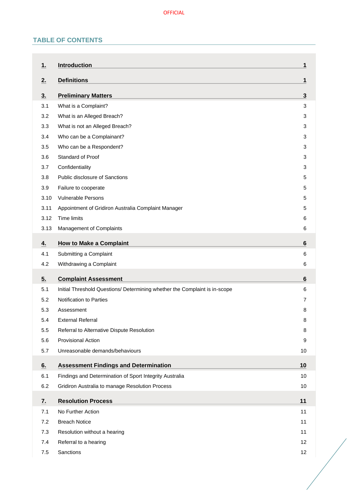# **TABLE OF CONTENTS**

| 1.             | <b>Introduction</b>                                                        | 1              |
|----------------|----------------------------------------------------------------------------|----------------|
| 2.             | <b>Definitions</b>                                                         | 1              |
| 3 <sub>1</sub> | <b>Preliminary Matters</b>                                                 | 3              |
| 3.1            | What is a Complaint?                                                       | 3              |
| 3.2            | What is an Alleged Breach?                                                 | 3              |
| 3.3            | What is not an Alleged Breach?                                             | 3              |
| 3.4            | Who can be a Complainant?                                                  | 3              |
| 3.5            | Who can be a Respondent?                                                   | 3              |
| 3.6            | Standard of Proof                                                          | 3              |
| 3.7            | Confidentiality                                                            | 3              |
| 3.8            | Public disclosure of Sanctions                                             | 5              |
| 3.9            | Failure to cooperate                                                       | 5              |
| 3.10           | <b>Vulnerable Persons</b>                                                  | 5              |
| 3.11           | Appointment of Gridiron Australia Complaint Manager                        | 5              |
| 3.12           | Time limits                                                                | 6              |
| 3.13           | Management of Complaints                                                   | 6              |
| 4.             | <b>How to Make a Complaint</b>                                             | 6              |
| 4.1            | Submitting a Complaint                                                     | 6              |
| 4.2            | Withdrawing a Complaint                                                    | 6              |
| 5.             | <b>Complaint Assessment</b>                                                | $6\phantom{1}$ |
| 5.1            | Initial Threshold Questions/ Determining whether the Complaint is in-scope | 6              |
| 5.2            | Notification to Parties                                                    | 7              |
| 5.3            | Assessment                                                                 | 8              |
| 5.4            | <b>External Referral</b>                                                   | 8              |
| 5.5            | Referral to Alternative Dispute Resolution                                 | 8              |
| 5.6            | <b>Provisional Action</b>                                                  | 9              |
| 5.7            | Unreasonable demands/behaviours                                            | 10             |
| 6.             | <b>Assessment Findings and Determination</b>                               | 10             |
| 6.1            | Findings and Determination of Sport Integrity Australia                    | 10             |
| 6.2            | Gridiron Australia to manage Resolution Process                            | 10             |
| 7.             | <b>Resolution Process</b>                                                  | 11             |
| 7.1            | No Further Action                                                          | 11             |
| 7.2            | <b>Breach Notice</b>                                                       | 11             |
| 7.3            | Resolution without a hearing                                               | 11             |
| 7.4            |                                                                            | 12             |
|                | Referral to a hearing                                                      |                |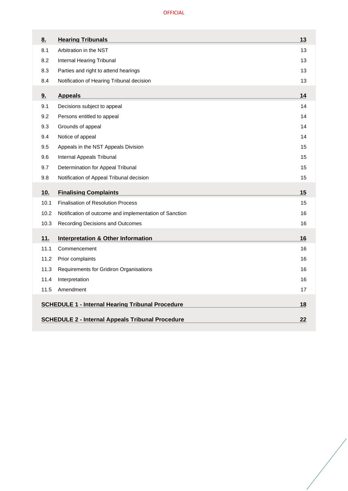| 8.                                                      | <b>Hearing Tribunals</b>                               | 13 |
|---------------------------------------------------------|--------------------------------------------------------|----|
| 8.1                                                     | Arbitration in the NST                                 | 13 |
| 8.2                                                     | Internal Hearing Tribunal                              | 13 |
| 8.3                                                     | Parties and right to attend hearings                   | 13 |
| 8.4                                                     | Notification of Hearing Tribunal decision              | 13 |
| 9.                                                      | <b>Appeals</b>                                         | 14 |
| 9.1                                                     | Decisions subject to appeal                            | 14 |
| 9.2                                                     | Persons entitled to appeal                             | 14 |
| 9.3                                                     | Grounds of appeal                                      | 14 |
| 9.4                                                     | Notice of appeal                                       | 14 |
| 9.5                                                     | Appeals in the NST Appeals Division                    | 15 |
| 9.6                                                     | Internal Appeals Tribunal                              | 15 |
| 9.7                                                     | Determination for Appeal Tribunal                      | 15 |
| 9.8                                                     | Notification of Appeal Tribunal decision               | 15 |
| 10.                                                     | <b>Finalising Complaints</b>                           | 15 |
| 10.1                                                    | <b>Finalisation of Resolution Process</b>              | 15 |
| 10.2                                                    | Notification of outcome and implementation of Sanction | 16 |
| 10.3                                                    | Recording Decisions and Outcomes                       | 16 |
| 11.                                                     | <b>Interpretation &amp; Other Information</b>          | 16 |
| 11.1                                                    | Commencement                                           | 16 |
| 11.2                                                    | Prior complaints                                       | 16 |
| 11.3                                                    | Requirements for Gridiron Organisations                | 16 |
| 11.4                                                    | Interpretation                                         | 16 |
| 11.5                                                    | Amendment                                              | 17 |
| <b>SCHEDULE 1 - Internal Hearing Tribunal Procedure</b> |                                                        |    |
| 18<br>22                                                |                                                        |    |
| <b>SCHEDULE 2 - Internal Appeals Tribunal Procedure</b> |                                                        |    |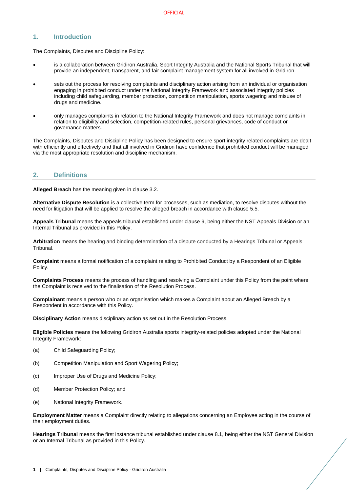# <span id="page-3-0"></span>**1. Introduction**

The Complaints, Disputes and Discipline Policy:

- is a collaboration between Gridiron Australia, Sport Integrity Australia and the National Sports Tribunal that will provide an independent, transparent, and fair complaint management system for all involved in Gridiron.
- sets out the process for resolving complaints and disciplinary action arising from an individual or organisation engaging in prohibited conduct under the National Integrity Framework and associated integrity policies including child safeguarding, member protection, competition manipulation, sports wagering and misuse of drugs and medicine.
- only manages complaints in relation to the National Integrity Framework and does not manage complaints in relation to eligibility and selection, competition-related rules, personal grievances, code of conduct or governance matters.

The Complaints, Disputes and Discipline Policy has been designed to ensure sport integrity related complaints are dealt with efficiently and effectively and that all involved in Gridiron have confidence that prohibited conduct will be managed via the most appropriate resolution and discipline mechanism.

# <span id="page-3-1"></span>**2. Definitions**

**Alleged Breach** has the meaning given in clause [3.2.](#page-5-2)

**Alternative Dispute Resolution** is a collective term for processes, such as mediation, to resolve disputes without the need for litigation that will be applied to resolve the alleged breach in accordance with clause [5.5.](#page-10-2)

**Appeals Tribunal** means the appeals tribunal established under clause [9,](#page-16-0) being either the NST Appeals Division or an Internal Tribunal as provided in this Policy.

**Arbitration** means the hearing and binding determination of a dispute conducted by a Hearings Tribunal or Appeals Tribunal.

**Complaint** means a formal notification of a complaint relating to Prohibited Conduct by a Respondent of an Eligible Policy.

**Complaints Process** means the process of handling and resolving a Complaint under this Policy from the point where the Complaint is received to the finalisation of the Resolution Process.

**Complainant** means a person who or an organisation which makes a Complaint about an Alleged Breach by a Respondent in accordance with this Policy.

**Disciplinary Action** means disciplinary action as set out in the Resolution Process.

**Eligible Policies** means the following Gridiron Australia sports integrity-related policies adopted under the National Integrity Framework:

- (a) Child Safeguarding Policy;
- (b) Competition Manipulation and Sport Wagering Policy;
- (c) Improper Use of Drugs and Medicine Policy;
- (d) Member Protection Policy; and
- (e) National Integrity Framework.

**Employment Matter** means a Complaint directly relating to allegations concerning an Employee acting in the course of their employment duties.

**Hearings Tribunal** means the first instance tribunal established under clause [8.1,](#page-15-1) being either the NST General Division or an Internal Tribunal as provided in this Policy.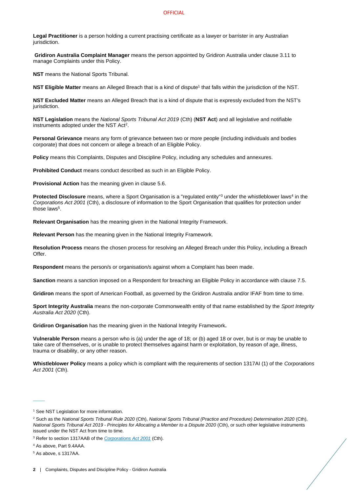#### **OFFICIAL**

**Legal Practitioner** is a person holding a current practising certificate as a lawyer or barrister in any Australian jurisdiction.

**Gridiron Australia Complaint Manager** means the person appointed by Gridiron Australia under clause [3.11](#page-7-3) to manage Complaints under this Policy.

**NST** means the National Sports Tribunal.

**NST Eligible Matter** means an Alleged Breach that is a kind of dispute<sup>1</sup> that falls within the jurisdiction of the NST.

**NST Excluded Matter** means an Alleged Breach that is a kind of dispute that is expressly excluded from the NST's jurisdiction.

**NST Legislation** means the *National Sports Tribunal Act 2019* (Cth) (**NST Act**) and all legislative and notifiable instruments adopted under the NST Act<sup>2</sup>.

**Personal Grievance** means any form of grievance between two or more people (including individuals and bodies corporate) that does not concern or allege a breach of an Eligible Policy.

**Policy** means this Complaints, Disputes and Discipline Policy, including any schedules and annexures.

**Prohibited Conduct** means conduct described as such in an Eligible Policy.

**Provisional Action** has the meaning given in clause [5.6.](#page-11-0)

Protected Disclosure means, where a Sport Organisation is a "regulated entity"<sup>3</sup> under the whistleblower laws<sup>4</sup> in the *Corporations Act 2001* (Cth), a disclosure of information to the Sport Organisation that qualifies for protection under those laws<sup>5</sup>.

**Relevant Organisation** has the meaning given in the National Integrity Framework.

**Relevant Person** has the meaning given in the National Integrity Framework.

**Resolution Process** means the chosen process for resolving an Alleged Breach under this Policy, including a Breach Offer.

**Respondent** means the person/s or organisation/s against whom a Complaint has been made.

**Sanction** means a sanction imposed on a Respondent for breaching an Eligible Policy in accordance with clause [7.5.](#page-14-1)

**Gridiron** means the sport of American Football, as governed by the Gridiron Australia and/or IFAF from time to time.

**Sport Integrity Australia** means the non-corporate Commonwealth entity of that name established by the *Sport Integrity Australia Act 2020* (Cth).

**Gridiron Organisation** has the meaning given in the National Integrity Framework**.**

**Vulnerable Person** means a person who is (a) under the age of 18; or (b) aged 18 or over, but is or may be unable to take care of themselves, or is unable to protect themselves against harm or exploitation, by reason of age, illness, trauma or disability, or any other reason.

**Whistleblower Policy** means a policy which is compliant with the requirements of section 1317AI (1) of the *Corporations Act 2001* (Cth).

 $\overline{\phantom{a}}$ 

<sup>&</sup>lt;sup>1</sup> See NST Legislation for more information.

<sup>2</sup> Such as the *National Sports Tribunal Rule 2020* (Cth), *National Sports Tribunal (Practice and Procedure) Determination 2020* (Cth), *National Sports Tribunal Act 2019 - Principles for Allocating a Member to a Dispute 2020* (Cth), or such other legislative instruments issued under the NST Act from time to time.

<sup>3</sup> Refer to section 1317AAB of the *[Corporations Act 2001](https://www.legislation.gov.au/Details/C2020C00093/Html/Volume_5#_Toc33706032)* (Cth).

<sup>4</sup> As above, Part 9.4AAA.

<sup>5</sup> As above, s 1317AA.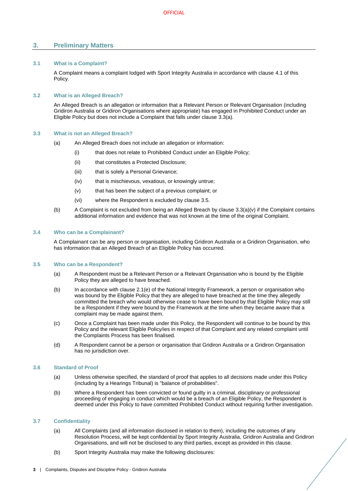# <span id="page-5-0"></span>**3. Preliminary Matters**

# <span id="page-5-1"></span>**3.1 What is a Complaint?**

A Complaint means a complaint lodged with Sport Integrity Australia in accordance with clause [4.1](#page-8-3) of this Policy.

# <span id="page-5-2"></span>**3.2 What is an Alleged Breach?**

An Alleged Breach is an allegation or information that a Relevant Person or Relevant Organisation (including Gridiron Australia or Gridiron Organisations where appropriate) has engaged in Prohibited Conduct under an Eligible Policy but does not include a Complaint that falls under clause [3.3\(](#page-5-3)a).

## <span id="page-5-3"></span>**3.3 What is not an Alleged Breach?**

- (a) An Alleged Breach does not include an allegation or information:
	- (i) that does not relate to Prohibited Conduct under an Eligible Policy;
	- (ii) that constitutes a Protected Disclosure;
	- (iii) that is solely a Personal Grievance;
	- (iv) that is mischievous, vexatious, or knowingly untrue;
	- (v) that has been the subject of a previous complaint; or
	- (vi) where the Respondent is excluded by clause [3.5.](#page-5-5)
- <span id="page-5-8"></span>(b) A Complaint is not excluded from being an Alleged Breach by clause [3.3](#page-5-3)[\(a\)\(v\)](#page-5-8) if the Complaint contains additional information and evidence that was not known at the time of the original Complaint.

# <span id="page-5-4"></span>**3.4 Who can be a Complainant?**

A Complainant can be any person or organisation, including Gridiron Australia or a Gridiron Organisation, who has information that an Alleged Breach of an Eligible Policy has occurred.

# <span id="page-5-5"></span>**3.5 Who can be a Respondent?**

- (a) A Respondent must be a Relevant Person or a Relevant Organisation who is bound by the Eligible Policy they are alleged to have breached.
- (b) In accordance with clause 2.1(e) of the National Integrity Framework, a person or organisation who was bound by the Eligible Policy that they are alleged to have breached at the time they allegedly committed the breach who would otherwise cease to have been bound by that Eligible Policy may still be a Respondent if they were bound by the Framework at the time when they became aware that a complaint may be made against them.
- (c) Once a Complaint has been made under this Policy, the Respondent will continue to be bound by this Policy and the relevant Eligible Policy/ies in respect of that Complaint and any related complaint until the Complaints Process has been finalised.
- (d) A Respondent cannot be a person or organisation that Gridiron Australia or a Gridiron Organisation has no jurisdiction over.

## <span id="page-5-6"></span>**3.6 Standard of Proof**

- (a) Unless otherwise specified, the standard of proof that applies to all decisions made under this Policy (including by a Hearings Tribunal) is "balance of probabilities".
- (b) Where a Respondent has been convicted or found guilty in a criminal, disciplinary or professional proceeding of engaging in conduct which would be a breach of an Eligible Policy, the Respondent is deemed under this Policy to have committed Prohibited Conduct without requiring further investigation.

## <span id="page-5-7"></span>**3.7 Confidentiality**

- (a) All Complaints (and all information disclosed in relation to them), including the outcomes of any Resolution Process, will be kept confidential by Sport Integrity Australia, Gridiron Australia and Gridiron Organisations, and will not be disclosed to any third parties, except as provided in this clause.
- (b) Sport Integrity Australia may make the following disclosures: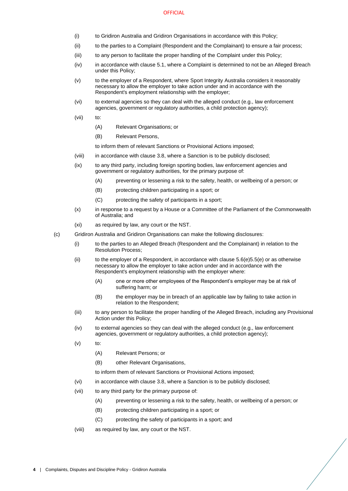#### **OFFICIAL**

- (i) to Gridiron Australia and Gridiron Organisations in accordance with this Policy;
- (ii) to the parties to a Complaint (Respondent and the Complainant) to ensure a fair process;
- (iii) to any person to facilitate the proper handling of the Complaint under this Policy;
- (iv) in accordance with claus[e 5.1,](#page-8-6) where a Complaint is determined to not be an Alleged Breach under this Policy;
- (v) to the employer of a Respondent, where Sport Integrity Australia considers it reasonably necessary to allow the employer to take action under and in accordance with the Respondent's employment relationship with the employer;
- (vi) to external agencies so they can deal with the alleged conduct (e.g., law enforcement agencies, government or regulatory authorities, a child protection agency);
- (vii) to:
	- (A) Relevant Organisations; or
	- (B) Relevant Persons,

to inform them of relevant Sanctions or Provisional Actions imposed;

- (viii) in accordance with claus[e 3.8,](#page-7-0) where a Sanction is to be publicly disclosed;
- (ix) to any third party, including foreign sporting bodies, law enforcement agencies and government or regulatory authorities, for the primary purpose of:
	- (A) preventing or lessening a risk to the safety, health, or wellbeing of a person; or
	- (B) protecting children participating in a sport; or
	- (C) protecting the safety of participants in a sport;
- (x) in response to a request by a House or a Committee of the Parliament of the Commonwealth of Australia; and
- (xi) as required by law, any court or the NST.
- (c) Gridiron Australia and Gridiron Organisations can make the following disclosures:
	- (i) to the parties to an Alleged Breach (Respondent and the Complainant) in relation to the Resolution Process;
	- (ii) to the employer of a Respondent, in accordance with clause  $5.6(e)5.5(e)$  $5.6(e)5.5(e)$  or as otherwise necessary to allow the employer to take action under and in accordance with the Respondent's employment relationship with the employer where:
		- (A) one or more other employees of the Respondent's employer may be at risk of suffering harm; or
		- (B) the employer may be in breach of an applicable law by failing to take action in relation to the Respondent;
	- (iii) to any person to facilitate the proper handling of the Alleged Breach, including any Provisional Action under this Policy;
	- (iv) to external agencies so they can deal with the alleged conduct (e.g., law enforcement agencies, government or regulatory authorities, a child protection agency);
	- $(v)$  to:
		- (A) Relevant Persons; or
		- (B) other Relevant Organisations,

to inform them of relevant Sanctions or Provisional Actions imposed;

- <span id="page-6-0"></span>(vi) in accordance with claus[e 3.8,](#page-7-0) where a Sanction is to be publicly disclosed;
- <span id="page-6-1"></span>(vii) to any third party for the primary purpose of:
	- (A) preventing or lessening a risk to the safety, health, or wellbeing of a person; or
	- (B) protecting children participating in a sport; or
	- (C) protecting the safety of participants in a sport; and
- (viii) as required by law, any court or the NST.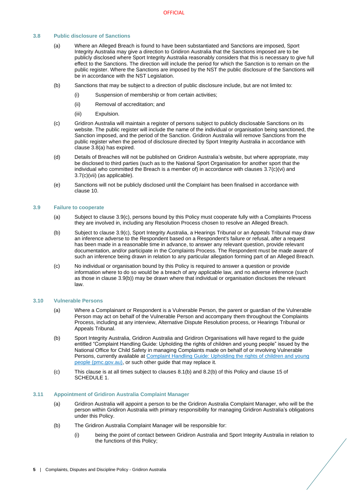# <span id="page-7-4"></span><span id="page-7-0"></span>**3.8 Public disclosure of Sanctions**

- (a) Where an Alleged Breach is found to have been substantiated and Sanctions are imposed, Sport Integrity Australia may give a direction to Gridiron Australia that the Sanctions imposed are to be publicly disclosed where Sport Integrity Australia reasonably considers that this is necessary to give full effect to the Sanctions. The direction will include the period for which the Sanction is to remain on the public register. Where the Sanctions are imposed by the NST the public disclosure of the Sanctions will be in accordance with the NST Legislation.
- (b) Sanctions that may be subject to a direction of public disclosure include, but are not limited to:
	- (i) Suspension of membership or from certain activities;
	- (ii) Removal of accreditation; and
	- (iii) Expulsion.
- <span id="page-7-7"></span>(c) Gridiron Australia will maintain a register of persons subject to publicly disclosable Sanctions on its website. The public register will include the name of the individual or organisation being sanctioned, the Sanction imposed, and the period of the Sanction. Gridiron Australia will remove Sanctions from the public register when the period of disclosure directed by Sport Integrity Australia in accordance with clause [3.8](#page-7-0)[\(a\)](#page-7-4) has expired.
- (d) Details of Breaches will not be published on Gridiron Australia's website, but where appropriate, may be disclosed to third parties (such as to the National Sport Organisation for another sport that the individual who committed the Breach is a member of) in accordance with clauses [3.7](#page-5-7)[\(c\)\(vi\)](#page-6-0) and [3.7](#page-5-7)[\(c\)\(vii\)](#page-6-1) (as applicable).
- (e) Sanctions will not be publicly disclosed until the Complaint has been finalised in accordance with clause [10.](#page-17-4)

#### <span id="page-7-1"></span>**3.9 Failure to cooperate**

- (a) Subject to clause [3.9](#page-7-1)[\(c\),](#page-7-5) persons bound by this Policy must cooperate fully with a Complaints Process they are involved in, including any Resolution Process chosen to resolve an Alleged Breach.
- <span id="page-7-6"></span>(b) Subject to clause [3.9](#page-7-1)[\(c\),](#page-7-5) Sport Integrity Australia, a Hearings Tribunal or an Appeals Tribunal may draw an inference adverse to the Respondent based on a Respondent's failure or refusal, after a request has been made in a reasonable time in advance, to answer any relevant question, provide relevant documentation, and/or participate in the Complaints Process. The Respondent must be made aware of such an inference being drawn in relation to any particular allegation forming part of an Alleged Breach.
- <span id="page-7-5"></span>(c) No individual or organisation bound by this Policy is required to answer a question or provide information where to do so would be a breach of any applicable law, and no adverse inference (such as those in clause [3.9](#page-7-1)[\(b\)\)](#page-7-6) may be drawn where that individual or organisation discloses the relevant law.

#### <span id="page-7-2"></span>**3.10 Vulnerable Persons**

- (a) Where a Complainant or Respondent is a Vulnerable Person, the parent or guardian of the Vulnerable Person may act on behalf of the Vulnerable Person and accompany them throughout the Complaints Process, including at any interview, Alternative Dispute Resolution process, or Hearings Tribunal or Appeals Tribunal.
- (b) Sport Integrity Australia, Gridiron Australia and Gridiron Organisations will have regard to the guide entitled "Complaint Handling Guide: Upholding the rights of children and young people" issued by the National Office for Child Safety in managing Complaints made on behalf of or involving Vulnerable Persons, currently available a[t Complaint Handling Guide: Upholding the rights of children and young](https://childsafety.pmc.gov.au/sites/default/files/2020-09/nocs-complaint-handling-guide.pdf)  [people \(pmc.gov.au\),](https://childsafety.pmc.gov.au/sites/default/files/2020-09/nocs-complaint-handling-guide.pdf) or such other guide that may replace it.
- (c) This clause is at all times subject to clauses [8.1\(b\)](#page-15-5) an[d 8.2\(b\)](#page-15-6) of this Policy and clause 15 of [SCHEDULE 1.](#page-20-0)

#### <span id="page-7-3"></span>**3.11 Appointment of Gridiron Australia Complaint Manager**

- (a) Gridiron Australia will appoint a person to be the Gridiron Australia Complaint Manager, who will be the person within Gridiron Australia with primary responsibility for managing Gridiron Australia's obligations under this Policy.
- (b) The Gridiron Australia Complaint Manager will be responsible for:
	- (i) being the point of contact between Gridiron Australia and Sport Integrity Australia in relation to the functions of this Policy;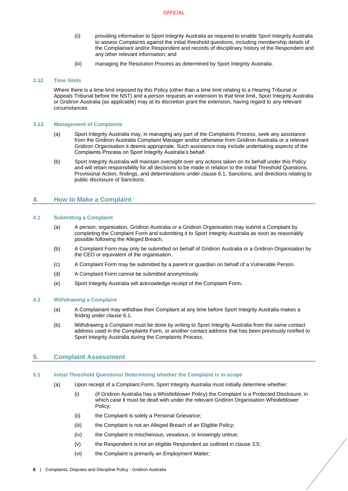- (ii) providing information to Sport Integrity Australia as required to enable Sport Integrity Australia to assess Complaints against the initial threshold questions, including membership details of the Complainant and/or Respondent and records of disciplinary history of the Respondent and any other relevant information; and
- (iii) managing the Resolution Process as determined by Sport Integrity Australia.

# <span id="page-8-0"></span>**3.12 Time limits**

Where there is a time limit imposed by this Policy (other than a time limit relating to a Hearing Tribunal or Appeals Tribunal before the NST) and a person requests an extension to that time limit, Sport Integrity Australia or Gridiron Australia (as applicable) may at its discretion grant the extension, having regard to any relevant circumstances.

# <span id="page-8-1"></span>**3.13 Management of Complaints**

- (a) Sport Integrity Australia may, in managing any part of the Complaints Process, seek any assistance from the Gridiron Australia Complaint Manager and/or otherwise from Gridiron Australia or a relevant Gridiron Organisation it deems appropriate. Such assistance may include undertaking aspects of the Complaints Process on Sport Integrity Australia's behalf.
- (b) Sport Integrity Australia will maintain oversight over any actions taken on its behalf under this Policy and will retain responsibility for all decisions to be made in relation to the Initial Threshold Questions, Provisional Action, findings, and determinations under clause [6.1,](#page-12-2) Sanctions, and directions relating to public disclosure of Sanctions.

# <span id="page-8-2"></span>**4. How to Make a Complaint**

# <span id="page-8-3"></span>**4.1 Submitting a Complaint**

- (a) A person, organisation, Gridiron Australia or a Gridiron Organisation may submit a Complaint by completing the Complaint Form and submitting it to Sport Integrity Australia as soon as reasonably possible following the Alleged Breach.
- (b) A Complaint Form may only be submitted on behalf of Gridiron Australia or a Gridiron Organisation by the CEO or equivalent of the organisation.
- (c) A Complaint Form may be submitted by a parent or guardian on behalf of a Vulnerable Person.
- (d) A Complaint Form cannot be submitted anonymously.
- (e) Sport Integrity Australia will acknowledge receipt of the Complaint Form**.**

## <span id="page-8-4"></span>**4.2 Withdrawing a Complaint**

- (a) A Complainant may withdraw their Complaint at any time before Sport Integrity Australia makes a finding under claus[e 6.1.](#page-12-2)
- (b) Withdrawing a Complaint must be done by writing to Sport Integrity Australia from the same contact address used in the Complaints Form, or another contact address that has been previously notified to Sport Integrity Australia during the Complaints Process.

# <span id="page-8-5"></span>**5. Complaint Assessment**

# <span id="page-8-7"></span><span id="page-8-6"></span>**5.1 Initial Threshold Questions/ Determining whether the Complaint is in-scope**

- <span id="page-8-9"></span><span id="page-8-8"></span>(a) Upon receipt of a Complaint Form, Sport Integrity Australia must initially determine whether:
	- (i) (if Gridiron Australia has a Whistleblower Policy) the Complaint is a Protected Disclosure, in which case it must be dealt with under the relevant Gridiron Organisation Whistleblower Policy;
	- (ii) the Complaint is solely a Personal Grievance;
	- (iii) the Complaint is not an Alleged Breach of an Eligible Policy;
	- (iv) the Complaint is mischievous, vexatious, or knowingly untrue;
	- (v) the Respondent is not an eligible Respondent as outlined in clause [3.5;](#page-5-5)
	- (vi) the Complaint is primarily an Employment Matter;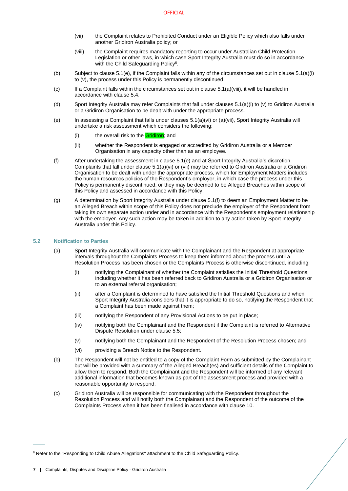- <span id="page-9-3"></span>(vii) the Complaint relates to Prohibited Conduct under an Eligible Policy which also falls under another Gridiron Australia policy; or
- (viii) the Complaint requires mandatory reporting to occur under Australian Child Protection Legislation or other laws, in which case Sport Integrity Australia must do so in accordance with the Child Safeguarding Policy<sup>6</sup>.
- <span id="page-9-2"></span>(b) Subject to claus[e 5.1](#page-8-6)[\(e\),](#page-9-1) if the Complaint falls within any of the circumstances set out in clause [5.1\(a\)\(i\)](#page-8-7) t[o \(v\),](#page-8-8) the process under this Policy is permanently discontinued.
- $(c)$  If a Complaint falls within the circumstances set out in clause  $5.1(a)$ (viii), it will be handled in accordance with claus[e 5.4.](#page-10-1)
- (d) Sport Integrity Australia may refer Complaints that fall under clause[s 5.1\(a\)\(i\)](#page-8-7) t[o \(v\)](#page-8-8) to Gridiron Australia or a Gridiron Organisation to be dealt with under the appropriate process.
- <span id="page-9-1"></span>(e) In assessing a Complaint that falls under clauses [5.1](#page-8-6)[\(a\)\(vi\)](#page-8-9) or [\(a\)\(vii\),](#page-9-3) Sport Integrity Australia will undertake a risk assessment which considers the following:
	- (i) the overall risk to the **Gridiron**; and
	- (ii) whether the Respondent is engaged or accredited by Gridiron Australia or a Member Organisation in any capacity other than as an employee.
- <span id="page-9-4"></span>(f) After undertaking the assessment in clause [5.1](#page-8-6)[\(e\)](#page-9-1) and at Sport Integrity Australia's discretion, Complaints that fall under claus[e 5.1\(a\)\(vi\)](#page-8-9) o[r \(vii\)](#page-9-3) may be referred to Gridiron Australia or a Gridiron Organisation to be dealt with under the appropriate process, which for Employment Matters includes the human resources policies of the Respondent's employer, in which case the process under this Policy is permanently discontinued, or they may be deemed to be Alleged Breaches within scope of this Policy and assessed in accordance with this Policy.
- (g) A determination by Sport Integrity Australia under clause [5.1](#page-8-6)[\(f\)](#page-9-4) to deem an Employment Matter to be an Alleged Breach within scope of this Policy does not preclude the employer of the Respondent from taking its own separate action under and in accordance with the Respondent's employment relationship with the employer. Any such action may be taken in addition to any action taken by Sport Integrity Australia under this Policy.

# <span id="page-9-0"></span>**5.2 Notification to Parties**

- (a) Sport Integrity Australia will communicate with the Complainant and the Respondent at appropriate intervals throughout the Complaints Process to keep them informed about the process until a Resolution Process has been chosen or the Complaints Process is otherwise discontinued, including:
	- (i) notifying the Complainant of whether the Complaint satisfies the Initial Threshold Questions, including whether it has been referred back to Gridiron Australia or a Gridiron Organisation or to an external referral organisation;
	- (ii) after a Complaint is determined to have satisfied the Initial Threshold Questions and when Sport Integrity Australia considers that it is appropriate to do so, notifying the Respondent that a Complaint has been made against them;
	- (iii) notifying the Respondent of any Provisional Actions to be put in place;
	- (iv) notifying both the Complainant and the Respondent if the Complaint is referred to Alternative Dispute Resolution under clause [5.5;](#page-10-2)
	- (v) notifying both the Complainant and the Respondent of the Resolution Process chosen; and
	- (vi) providing a Breach Notice to the Respondent.
- (b) The Respondent will not be entitled to a copy of the Complaint Form as submitted by the Complainant but will be provided with a summary of the Alleged Breach(es) and sufficient details of the Complaint to allow them to respond. Both the Complainant and the Respondent will be informed of any relevant additional information that becomes known as part of the assessment process and provided with a reasonable opportunity to respond.
- (c) Gridiron Australia will be responsible for communicating with the Respondent throughout the Resolution Process and will notify both the Complainant and the Respondent of the outcome of the Complaints Process when it has been finalised in accordance with clause [10.](#page-17-4)

 $\overline{\phantom{a}}$ 

<sup>6</sup> Refer to the "Responding to Child Abuse Allegations" attachment to the Child Safeguarding Policy.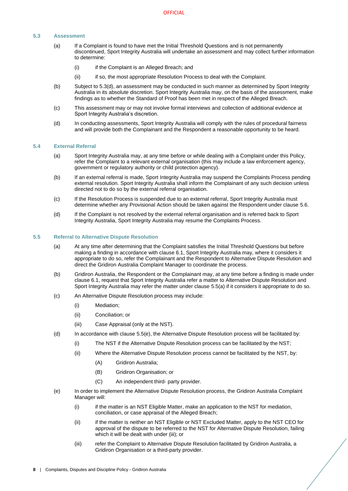# <span id="page-10-0"></span>**5.3 Assessment**

- (a) If a Complaint is found to have met the Initial Threshold Questions and is not permanently discontinued, Sport Integrity Australia will undertake an assessment and may collect further information to determine:
	- (i) if the Complaint is an Alleged Breach; and
	- (ii) if so, the most appropriate Resolution Process to deal with the Complaint.
- (b) Subject to [5.3](#page-10-0)[\(d\),](#page-10-4) an assessment may be conducted in such manner as determined by Sport Integrity Australia in its absolute discretion. Sport Integrity Australia may, on the basis of the assessment, make findings as to whether the Standard of Proof has been met in respect of the Alleged Breach.
- (c) This assessment may or may not involve formal interviews and collection of additional evidence at Sport Integrity Australia's discretion.
- <span id="page-10-4"></span>(d) In conducting assessments, Sport Integrity Australia will comply with the rules of procedural fairness and will provide both the Complainant and the Respondent a reasonable opportunity to be heard.

#### <span id="page-10-1"></span>**5.4 External Referral**

- (a) Sport Integrity Australia may, at any time before or while dealing with a Complaint under this Policy, refer the Complaint to a relevant external organisation (this may include a law enforcement agency, government or regulatory authority or child protection agency).
- (b) If an external referral is made, Sport Integrity Australia may suspend the Complaints Process pending external resolution. Sport Integrity Australia shall inform the Complainant of any such decision unless directed not to do so by the external referral organisation.
- (c) If the Resolution Process is suspended due to an external referral, Sport Integrity Australia must determine whether any Provisional Action should be taken against the Respondent under clause [5.6.](#page-11-0)
- (d) If the Complaint is not resolved by the external referral organisation and is referred back to Sport Integrity Australia, Sport Integrity Australia may resume the Complaints Process.

#### <span id="page-10-5"></span><span id="page-10-2"></span>**5.5 Referral to Alternative Dispute Resolution**

- (a) At any time after determining that the Complaint satisfies the Initial Threshold Questions but before making a finding in accordance with clause 6.1, Sport Integrity Australia may, where it considers it appropriate to do so, refer the Complainant and the Respondent to Alternative Dispute Resolution and direct the Gridiron Australia Complaint Manager to coordinate the process.
- (b) Gridiron Australia, the Respondent or the Complainant may, at any time before a finding is made under clause [6.1,](#page-12-2) request that Sport Integrity Australia refer a matter to Alternative Dispute Resolution and Sport Integrity Australia may refer the matter under clause [5.5\(a\)](#page-10-5) if it considers it appropriate to do so.
- (c) An Alternative Dispute Resolution process may include:
	- (i) Mediation;
	- (ii) Conciliation; or
	- (iii) Case Appraisal (only at the NST).
- (d) In accordance with claus[e 5.5](#page-10-2)[\(e\),](#page-10-3) the Alternative Dispute Resolution process will be facilitated by:
	- (i) The NST if the Alternative Dispute Resolution process can be facilitated by the NST;
	- (ii) Where the Alternative Dispute Resolution process cannot be facilitated by the NST, by:
		- (A) Gridiron Australia;
		- (B) Gridiron Organisation; or
		- (C) An independent third- party provider.
- <span id="page-10-3"></span>(e) In order to implement the Alternative Dispute Resolution process, the Gridiron Australia Complaint Manager will:
	- (i) if the matter is an NST Eligible Matter, make an application to the NST for mediation, conciliation, or case appraisal of the Alleged Breach;
	- (ii) if the matter is neither an NST Eligible or NST Excluded Matter, apply to the NST CEO for approval of the dispute to be referred to the NST for Alternative Dispute Resolution, failing which it will be dealt with under (iii); or
	- (iii) refer the Complaint to Alternative Dispute Resolution facilitated by Gridiron Australia, a Gridiron Organisation or a third-party provider.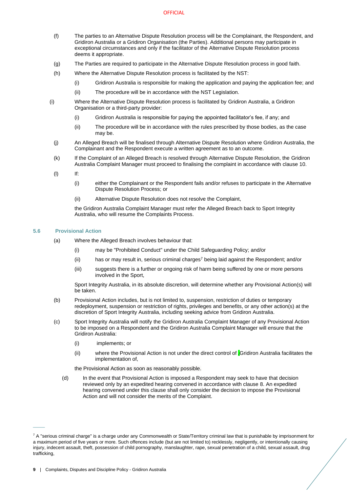#### **OFFICIAL**

- (f) The parties to an Alternative Dispute Resolution process will be the Complainant, the Respondent, and Gridiron Australia or a Gridiron Organisation (the Parties). Additional persons may participate in exceptional circumstances and only if the facilitator of the Alternative Dispute Resolution process deems it appropriate.
- (g) The Parties are required to participate in the Alternative Dispute Resolution process in good faith.
- (h) Where the Alternative Dispute Resolution process is facilitated by the NST:
	- (i) Gridiron Australia is responsible for making the application and paying the application fee; and
	- (ii) The procedure will be in accordance with the NST Legislation.
- (i) Where the Alternative Dispute Resolution process is facilitated by Gridiron Australia, a Gridiron Organisation or a third-party provider:
	- (i) Gridiron Australia is responsible for paying the appointed facilitator's fee, if any; and
	- (ii) The procedure will be in accordance with the rules prescribed by those bodies, as the case may be.
	- (j) An Alleged Breach will be finalised through Alternative Dispute Resolution where Gridiron Australia, the Complainant and the Respondent execute a written agreement as to an outcome.
	- (k) If the Complaint of an Alleged Breach is resolved through Alternative Dispute Resolution, the Gridiron Australia Complaint Manager must proceed to finalising the complaint in accordance with clause [10.](#page-17-4)
	- (l) If:
		- (i) either the Complainant or the Respondent fails and/or refuses to participate in the Alternative Dispute Resolution Process; or
		- (ii) Alternative Dispute Resolution does not resolve the Complaint,

the Gridiron Australia Complaint Manager must refer the Alleged Breach back to Sport Integrity Australia, who will resume the Complaints Process.

# **5.6 Provisional Action**

 $\overline{\phantom{a}}$ 

- <span id="page-11-0"></span>(a) Where the Alleged Breach involves behaviour that:
	- (i) may be "Prohibited Conduct" under the Child Safeguarding Policy; and/or
	- (ii) has or may result in, serious criminal charges<sup>7</sup> being laid against the Respondent; and/or
	- (iii) suggests there is a further or ongoing risk of harm being suffered by one or more persons involved in the Sport,

Sport Integrity Australia, in its absolute discretion, will determine whether any Provisional Action(s) will be taken.

- (b) Provisional Action includes, but is not limited to, suspension, restriction of duties or temporary redeployment, suspension or restriction of rights, privileges and benefits, or any other action(s) at the discretion of Sport Integrity Australia, including seeking advice from Gridiron Australia.
- (c) Sport Integrity Australia will notify the Gridiron Australia Complaint Manager of any Provisional Action to be imposed on a Respondent and the Gridiron Australia Complaint Manager will ensure that the Gridiron Australia:
	- (i) implements; or
	- (ii) where the Provisional Action is not under the direct control of ,Gridiron Australia facilitates the implementation of,

the Provisional Action as soon as reasonably possible.

(d) In the event that Provisional Action is imposed a Respondent may seek to have that decision reviewed only by an expedited hearing convened in accordance with clause 8. An expedited hearing convened under this clause shall only consider the decision to impose the Provisional Action and will not consider the merits of the Complaint.

 $7$  A "serious criminal charge" is a charge under any Commonwealth or State/Territory criminal law that is punishable by imprisonment for a maximum period of five years or more. Such offences include (but are not limited to) recklessly, negligently, or intentionally causing injury, indecent assault, theft, possession of child pornography, manslaughter, rape, sexual penetration of a child, sexual assault, drug trafficking,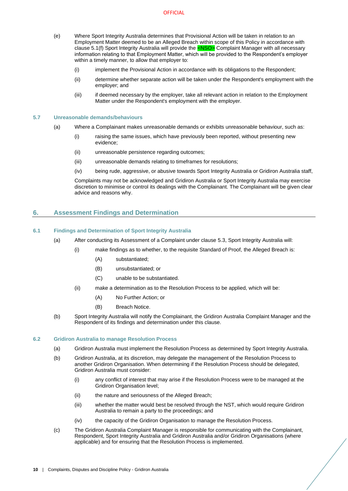- <span id="page-12-4"></span>(e) Where Sport Integrity Australia determines that Provisional Action will be taken in relation to an Employment Matter deemed to be an Alleged Breach within scope of this Policy in accordance with clause [5.1\(f\)](#page-9-4) Sport Integrity Australia will provide the <NSO> Complaint Manager with all necessary information relating to that Employment Matter, which will be provided to the Respondent's employer within a timely manner, to allow that employer to:
	- (i) implement the Provisional Action in accordance with its obligations to the Respondent;
	- (ii) determine whether separate action will be taken under the Respondent's employment with the employer; and
	- (iii) if deemed necessary by the employer, take all relevant action in relation to the Employment Matter under the Respondent's employment with the employer.

#### <span id="page-12-0"></span>**5.7 Unreasonable demands/behaviours**

- (a) Where a Complainant makes unreasonable demands or exhibits unreasonable behaviour, such as:
	- (i) raising the same issues, which have previously been reported, without presenting new evidence;
	- (ii) unreasonable persistence regarding outcomes;
	- (iii) unreasonable demands relating to timeframes for resolutions;
	- (iv) being rude, aggressive, or abusive towards Sport Integrity Australia or Gridiron Australia staff,

Complaints may not be acknowledged and Gridiron Australia or Sport Integrity Australia may exercise discretion to minimise or control its dealings with the Complainant. The Complainant will be given clear advice and reasons why.

# <span id="page-12-1"></span>**6. Assessment Findings and Determination**

## <span id="page-12-2"></span>**6.1 Findings and Determination of Sport Integrity Australia**

- (a) After conducting its Assessment of a Complaint under claus[e 5.3,](#page-10-0) Sport Integrity Australia will:
	- (i) make findings as to whether, to the requisite Standard of Proof, the Alleged Breach is:
		- (A) substantiated;
		- (B) unsubstantiated; or
		- (C) unable to be substantiated.
		- (ii) make a determination as to the Resolution Process to be applied, which will be:
			- (A) No Further Action; or
			- (B) Breach Notice.
- <span id="page-12-6"></span><span id="page-12-5"></span>(b) Sport Integrity Australia will notify the Complainant, the Gridiron Australia Complaint Manager and the Respondent of its findings and determination under this clause.

#### <span id="page-12-7"></span><span id="page-12-3"></span>**6.2 Gridiron Australia to manage Resolution Process**

- (a) Gridiron Australia must implement the Resolution Process as determined by Sport Integrity Australia.
- (b) Gridiron Australia, at its discretion, may delegate the management of the Resolution Process to another Gridiron Organisation. When determining if the Resolution Process should be delegated, Gridiron Australia must consider:
	- (i) any conflict of interest that may arise if the Resolution Process were to be managed at the Gridiron Organisation level;
	- (ii) the nature and seriousness of the Alleged Breach;
	- (iii) whether the matter would best be resolved through the NST, which would require Gridiron Australia to remain a party to the proceedings; and
	- (iv) the capacity of the Gridiron Organisation to manage the Resolution Process.
- (c) The Gridiron Australia Complaint Manager is responsible for communicating with the Complainant, Respondent, Sport Integrity Australia and Gridiron Australia and/or Gridiron Organisations (where applicable) and for ensuring that the Resolution Process is implemented.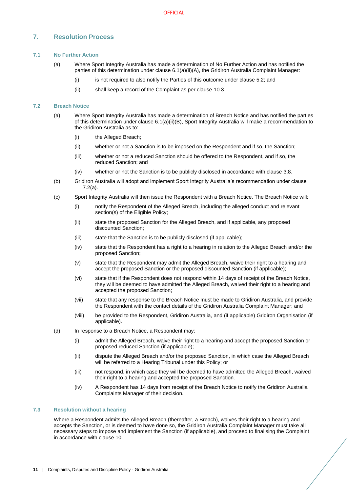# <span id="page-13-0"></span>**7. Resolution Process**

# <span id="page-13-1"></span>**7.1 No Further Action**

- (a) Where Sport Integrity Australia has made a determination of No Further Action and has notified the parties of this determination under claus[e 6.1\(a\)\(ii\)\(A\),](#page-12-5) the Gridiron Australia Complaint Manager:
	- (i) is not required to also notify the Parties of this outcome under claus[e 5.2;](#page-9-0) and
	- (ii) shall keep a record of the Complaint as per clause [10.3.](#page-18-1)

#### <span id="page-13-4"></span><span id="page-13-2"></span>**7.2 Breach Notice**

- (a) Where Sport Integrity Australia has made a determination of Breach Notice and has notified the parties of this determination under clause [6.1\(a\)\(ii\)\(B\),](#page-12-6) Sport Integrity Australia will make a recommendation to the Gridiron Australia as to:
	- (i) the Alleged Breach;
	- (ii) whether or not a Sanction is to be imposed on the Respondent and if so, the Sanction;
	- (iii) whether or not a reduced Sanction should be offered to the Respondent, and if so, the reduced Sanction; and
	- (iv) whether or not the Sanction is to be publicly disclosed in accordance with clause [3.8.](#page-7-0)
- (b) Gridiron Australia will adopt and implement Sport Integrity Australia's recommendation under clause [7.2\(a\).](#page-13-4)
- (c) Sport Integrity Australia will then issue the Respondent with a Breach Notice. The Breach Notice will:
	- (i) notify the Respondent of the Alleged Breach, including the alleged conduct and relevant section(s) of the Eligible Policy;
	- (ii) state the proposed Sanction for the Alleged Breach, and if applicable, any proposed discounted Sanction;
	- (iii) state that the Sanction is to be publicly disclosed (if applicable);
	- (iv) state that the Respondent has a right to a hearing in relation to the Alleged Breach and/or the proposed Sanction;
	- (v) state that the Respondent may admit the Alleged Breach, waive their right to a hearing and accept the proposed Sanction or the proposed discounted Sanction (if applicable);
	- (vi) state that if the Respondent does not respond within 14 days of receipt of the Breach Notice, they will be deemed to have admitted the Alleged Breach, waived their right to a hearing and accepted the proposed Sanction;
	- (vii) state that any response to the Breach Notice must be made to Gridiron Australia, and provide the Respondent with the contact details of the Gridiron Australia Complaint Manager; and
	- (viii) be provided to the Respondent, Gridiron Australia, and (if applicable) Gridiron Organisation (if applicable).
- <span id="page-13-5"></span>(d) In response to a Breach Notice, a Respondent may:
	- (i) admit the Alleged Breach, waive their right to a hearing and accept the proposed Sanction or proposed reduced Sanction (if applicable);
	- (ii) dispute the Alleged Breach and/or the proposed Sanction, in which case the Alleged Breach will be referred to a Hearing Tribunal under this Policy; or
	- (iii) not respond, in which case they will be deemed to have admitted the Alleged Breach, waived their right to a hearing and accepted the proposed Sanction.
	- (iv) A Respondent has 14 days from receipt of the Breach Notice to notify the Gridiron Australia Complaints Manager of their decision.

#### <span id="page-13-3"></span>**7.3 Resolution without a hearing**

Where a Respondent admits the Alleged Breach (thereafter, a Breach), waives their right to a hearing and accepts the Sanction, or is deemed to have done so, the Gridiron Australia Complaint Manager must take all necessary steps to impose and implement the Sanction (if applicable), and proceed to finalising the Complaint in accordance with claus[e 10.](#page-17-4)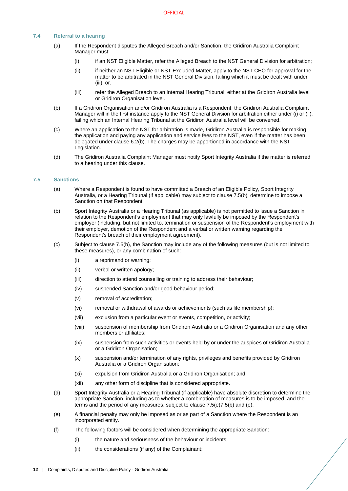# <span id="page-14-0"></span>**7.4 Referral to a hearing**

- (a) If the Respondent disputes the Alleged Breach and/or Sanction, the Gridiron Australia Complaint Manager must:
	- (i) if an NST Eligible Matter, refer the Alleged Breach to the NST General Division for arbitration;
	- (ii) if neither an NST Eligible or NST Excluded Matter, apply to the NST CEO for approval for the matter to be arbitrated in the NST General Division, failing which it must be dealt with under (iii); or.
	- (iii) refer the Alleged Breach to an Internal Hearing Tribunal, either at the Gridiron Australia level or Gridiron Organisation level.
- (b) If a Gridiron Organisation and/or Gridiron Australia is a Respondent, the Gridiron Australia Complaint Manager will in the first instance apply to the NST General Division for arbitration either under (i) or (ii), failing which an Internal Hearing Tribunal at the Gridiron Australia level will be convened.
- (c) Where an application to the NST for arbitration is made, Gridiron Australia is responsible for making the application and paying any application and service fees to the NST, even if the matter has been delegated under claus[e 6.2\(b\).](#page-12-7) The charges may be apportioned in accordance with the NST Legislation.
- (d) The Gridiron Australia Complaint Manager must notify Sport Integrity Australia if the matter is referred to a hearing under this clause.

#### <span id="page-14-1"></span>**7.5 Sanctions**

- (a) Where a Respondent is found to have committed a Breach of an Eligible Policy, Sport Integrity Australia, or a Hearing Tribunal (if applicable) may subject to claus[e 7.5](#page-14-1)[\(b\),](#page-14-2) determine to impose a Sanction on that Respondent.
- <span id="page-14-2"></span>(b) Sport Integrity Australia or a Hearing Tribunal (as applicable) is not permitted to issue a Sanction in relation to the Respondent's employment that may only lawfully be imposed by the Respondent's employer (including, but not limited to, termination or suspension of the Respondent's employment with their employer, demotion of the Respondent and a verbal or written warning regarding the Respondent's breach of their employment agreement).
- (c) Subject to claus[e 7.5](#page-14-1)[\(b\),](#page-14-2) the Sanction may include any of the following measures (but is not limited to these measures), or any combination of such:
	- (i) a reprimand or warning;
	- (ii) verbal or written apology;
	- (iii) direction to attend counselling or training to address their behaviour;
	- (iv) suspended Sanction and/or good behaviour period;
	- (v) removal of accreditation;
	- (vi) removal or withdrawal of awards or achievements (such as life membership);
	- (vii) exclusion from a particular event or events, competition, or activity;
	- (viii) suspension of membership from Gridiron Australia or a Gridiron Organisation and any other members or affiliates;
	- (ix) suspension from such activities or events held by or under the auspices of Gridiron Australia or a Gridiron Organisation;
	- (x) suspension and/or termination of any rights, privileges and benefits provided by Gridiron Australia or a Gridiron Organisation;
	- (xi) expulsion from Gridiron Australia or a Gridiron Organisation; and
	- (xii) any other form of discipline that is considered appropriate.
- (d) Sport Integrity Australia or a Hearing Tribunal (if applicable) have absolute discretion to determine the appropriate Sanction, including as to whether a combination of measures is to be imposed, and the terms and the period of any measures, subject to claus[e 7.5\(e\)](#page-14-3)[7.5](#page-14-1)[\(b\)](#page-14-2) and [\(e\).](#page-14-3)
- <span id="page-14-3"></span>(e) A financial penalty may only be imposed as or as part of a Sanction where the Respondent is an incorporated entity.
- (f) The following factors will be considered when determining the appropriate Sanction:
	- (i) the nature and seriousness of the behaviour or incidents;
	- (ii) the considerations (if any) of the Complainant;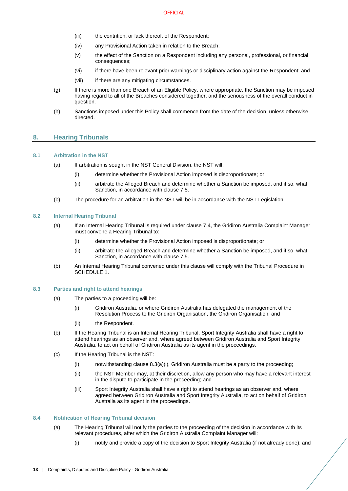- (iii) the contrition, or lack thereof, of the Respondent;
- (iv) any Provisional Action taken in relation to the Breach;
- (v) the effect of the Sanction on a Respondent including any personal, professional, or financial consequences;
- (vi) if there have been relevant prior warnings or disciplinary action against the Respondent; and
- (vii) if there are any mitigating circumstances.
- (g) If there is more than one Breach of an Eligible Policy, where appropriate, the Sanction may be imposed having regard to all of the Breaches considered together, and the seriousness of the overall conduct in question.
- (h) Sanctions imposed under this Policy shall commence from the date of the decision, unless otherwise directed.

## <span id="page-15-0"></span>**8. Hearing Tribunals**

#### <span id="page-15-10"></span><span id="page-15-1"></span>**8.1 Arbitration in the NST**

- (a) If arbitration is sought in the NST General Division, the NST will:
	- (i) determine whether the Provisional Action imposed is disproportionate; or
	- (ii) arbitrate the Alleged Breach and determine whether a Sanction be imposed, and if so, what Sanction, in accordance with claus[e 7.5.](#page-14-1)
- <span id="page-15-8"></span>(b) The procedure for an arbitration in the NST will be in accordance with the NST Legislation.

#### <span id="page-15-11"></span><span id="page-15-5"></span><span id="page-15-2"></span>**8.2 Internal Hearing Tribunal**

- (a) If an Internal Hearing Tribunal is required under claus[e 7.4,](#page-14-0) the Gridiron Australia Complaint Manager must convene a Hearing Tribunal to:
	- (i) determine whether the Provisional Action imposed is disproportionate; or
	- (ii) arbitrate the Alleged Breach and determine whether a Sanction be imposed, and if so, what Sanction, in accordance with claus[e 7.5.](#page-14-1)
- <span id="page-15-9"></span><span id="page-15-6"></span>(b) An Internal Hearing Tribunal convened under this clause will comply with the Tribunal Procedure in [SCHEDULE 1.](#page-20-0)

#### <span id="page-15-7"></span><span id="page-15-3"></span>**8.3 Parties and right to attend hearings**

- (a) The parties to a proceeding will be:
	- (i) Gridiron Australia, or where Gridiron Australia has delegated the management of the Resolution Process to the Gridiron Organisation, the Gridiron Organisation; and
	- (ii) the Respondent.
- (b) If the Hearing Tribunal is an Internal Hearing Tribunal, Sport Integrity Australia shall have a right to attend hearings as an observer and, where agreed between Gridiron Australia and Sport Integrity Australia, to act on behalf of Gridiron Australia as its agent in the proceedings.
- (c) If the Hearing Tribunal is the NST:
	- (i) notwithstanding claus[e 8.3\(a\)\(i\),](#page-15-7) Gridiron Australia must be a party to the proceeding;
	- (ii) the NST Member may, at their discretion, allow any person who may have a relevant interest in the dispute to participate in the proceeding; and
	- (iii) Sport Integrity Australia shall have a right to attend hearings as an observer and, where agreed between Gridiron Australia and Sport Integrity Australia, to act on behalf of Gridiron Australia as its agent in the proceedings.

# <span id="page-15-4"></span>**8.4 Notification of Hearing Tribunal decision**

- (a) The Hearing Tribunal will notify the parties to the proceeding of the decision in accordance with its relevant procedures, after which the Gridiron Australia Complaint Manager will:
	- (i) notify and provide a copy of the decision to Sport Integrity Australia (if not already done); and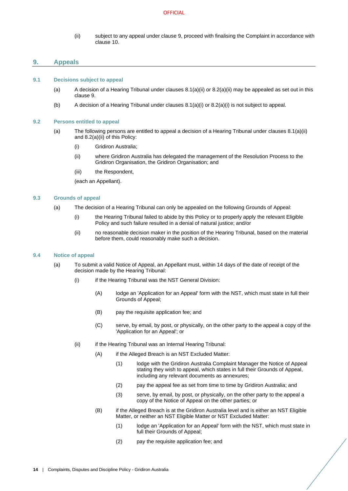(ii) subject to any appeal under claus[e 9,](#page-16-0) proceed with finalising the Complaint in accordance with claus[e 10.](#page-17-4)

# <span id="page-16-0"></span>**9. Appeals**

#### <span id="page-16-1"></span>**9.1 Decisions subject to appeal**

- (a) A decision of a Hearing Tribunal under clauses  $8.1(a)(ii)$  or  $8.2(a)(ii)$  may be appealed as set out in this clause [9.](#page-16-0)
- (b) A decision of a Hearing Tribunal under clause[s 8.1\(a\)\(i\)](#page-15-10) or [8.2\(a\)\(i\)](#page-15-11) is not subject to appeal.

#### <span id="page-16-2"></span>**9.2 Persons entitled to appeal**

- (a) The following persons are entitled to appeal a decision of a Hearing Tribunal under clauses [8.1\(a\)\(ii\)](#page-15-8) and [8.2\(a\)\(ii\)](#page-15-9) of this Policy:
	- (i) Gridiron Australia;
	- (ii) where Gridiron Australia has delegated the management of the Resolution Process to the Gridiron Organisation, the Gridiron Organisation; and
	- (iii) the Respondent.

(each an Appellant).

#### <span id="page-16-7"></span><span id="page-16-3"></span>**9.3 Grounds of appeal**

- (a) The decision of a Hearing Tribunal can only be appealed on the following Grounds of Appeal:
	- (i) the Hearing Tribunal failed to abide by this Policy or to properly apply the relevant Eligible Policy and such failure resulted in a denial of natural justice; and/or
	- (ii) no reasonable decision maker in the position of the Hearing Tribunal, based on the material before them, could reasonably make such a decision.

## <span id="page-16-4"></span>**9.4 Notice of appeal**

- <span id="page-16-6"></span><span id="page-16-5"></span>(a) To submit a valid Notice of Appeal, an Appellant must, within 14 days of the date of receipt of the decision made by the Hearing Tribunal:
	- (i) if the Hearing Tribunal was the NST General Division:
		- (A) lodge an 'Application for an Appeal' form with the NST, which must state in full their Grounds of Appeal;
		- (B) pay the requisite application fee; and
		- (C) serve, by email, by post, or physically, on the other party to the appeal a copy of the 'Application for an Appeal'; or
	- (ii) if the Hearing Tribunal was an Internal Hearing Tribunal:
		- (A) if the Alleged Breach is an NST Excluded Matter:
			- (1) lodge with the Gridiron Australia Complaint Manager the Notice of Appeal stating they wish to appeal, which states in full their Grounds of Appeal, including any relevant documents as annexures;
			- (2) pay the appeal fee as set from time to time by Gridiron Australia; and
			- (3) serve, by email, by post, or physically, on the other party to the appeal a copy of the Notice of Appeal on the other parties; or
		- (B) if the Alleged Breach is at the Gridiron Australia level and is either an NST Eligible Matter, or neither an NST Eligible Matter or NST Excluded Matter:
			- (1) lodge an 'Application for an Appeal' form with the NST, which must state in full their Grounds of Appeal;
			- (2) pay the requisite application fee; and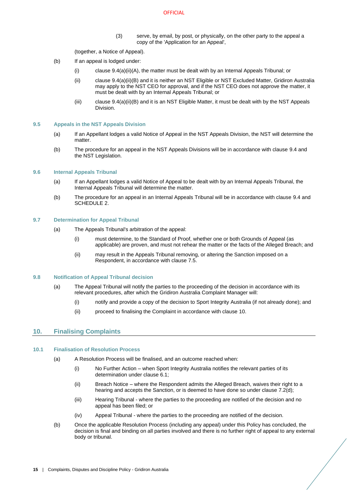#### **OFFICIAL**

(3) serve, by email, by post, or physically, on the other party to the appeal a copy of the 'Application for an Appeal',

(together, a Notice of Appeal).

- (b) If an appeal is lodged under:
	- (i) clause  $9.4(a)(ii)(A)$ , the matter must be dealt with by an Internal Appeals Tribunal; or
	- (ii) claus[e 9.4\(a\)\(ii\)\(B\)](#page-16-6) and it is neither an NST Eligible or NST Excluded Matter, Gridiron Australia may apply to the NST CEO for approval, and if the NST CEO does not approve the matter, it must be dealt with by an Internal Appeals Tribunal; or
	- (iii) claus[e 9.4\(a\)\(ii\)\(B\)](#page-16-6) and it is an NST Eligible Matter, it must be dealt with by the NST Appeals Division.

#### <span id="page-17-0"></span>**9.5 Appeals in the NST Appeals Division**

- (a) If an Appellant lodges a valid Notice of Appeal in the NST Appeals Division, the NST will determine the matter
- (b) The procedure for an appeal in the NST Appeals Divisions will be in accordance with clause [9.4](#page-16-4) and the NST Legislation.

#### <span id="page-17-1"></span>**9.6 Internal Appeals Tribunal**

- (a) If an Appellant lodges a valid Notice of Appeal to be dealt with by an Internal Appeals Tribunal, the Internal Appeals Tribunal will determine the matter.
- (b) The procedure for an appeal in an Internal Appeals Tribunal will be in accordance with clause [9.4](#page-16-4) and [SCHEDULE 2.](#page-24-0)

#### <span id="page-17-2"></span>**9.7 Determination for Appeal Tribunal**

- (a) The Appeals Tribunal's arbitration of the appeal:
	- (i) must determine, to the Standard of Proof, whether one or both Grounds of Appeal (as applicable) are proven, and must not rehear the matter or the facts of the Alleged Breach; and
	- (ii) may result in the Appeals Tribunal removing, or altering the Sanction imposed on a Respondent, in accordance with clause [7.5.](#page-14-1)

#### <span id="page-17-3"></span>**9.8 Notification of Appeal Tribunal decision**

- (a) The Appeal Tribunal will notify the parties to the proceeding of the decision in accordance with its relevant procedures, after which the Gridiron Australia Complaint Manager will:
	- (i) notify and provide a copy of the decision to Sport Integrity Australia (if not already done); and
	- (ii) proceed to finalising the Complaint in accordance with clause [10.](#page-17-4)

# <span id="page-17-4"></span>**10. Finalising Complaints**

#### <span id="page-17-5"></span>**10.1 Finalisation of Resolution Process**

- (a) A Resolution Process will be finalised, and an outcome reached when:
	- (i) No Further Action when Sport Integrity Australia notifies the relevant parties of its determination under clause [6.1;](#page-12-2)
	- (ii) Breach Notice where the Respondent admits the Alleged Breach, waives their right to a hearing and accepts the Sanction, or is deemed to have done so under claus[e 7.2\(d\);](#page-13-5)
	- (iii) Hearing Tribunal where the parties to the proceeding are notified of the decision and no appeal has been filed; or
	- (iv) Appeal Tribunal where the parties to the proceeding are notified of the decision.
- (b) Once the applicable Resolution Process (including any appeal) under this Policy has concluded, the decision is final and binding on all parties involved and there is no further right of appeal to any external body or tribunal.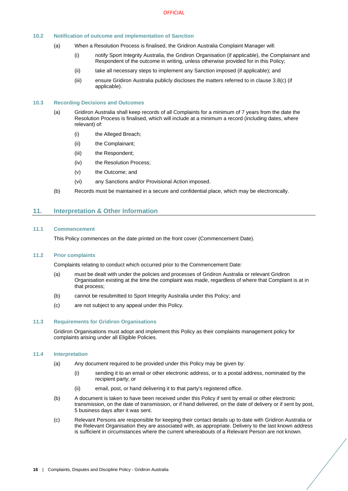# <span id="page-18-0"></span>**10.2 Notification of outcome and implementation of Sanction**

- (a) When a Resolution Process is finalised, the Gridiron Australia Complaint Manager will:
	- (i) notify Sport Integrity Australia, the Gridiron Organisation (if applicable), the Complainant and Respondent of the outcome in writing, unless otherwise provided for in this Policy;
	- (ii) take all necessary steps to implement any Sanction imposed (if applicable); and
	- (iii) ensure Gridiron Australia publicly discloses the matters referred to in claus[e 3.8](#page-7-0)[\(c\)](#page-7-7) (if applicable).

#### <span id="page-18-1"></span>**10.3 Recording Decisions and Outcomes**

- (a) Gridiron Australia shall keep records of all Complaints for a minimum of 7 years from the date the Resolution Process is finalised, which will include at a minimum a record (including dates, where relevant) of:
	- (i) the Alleged Breach;
	- (ii) the Complainant;
	- (iii) the Respondent;
	- (iv) the Resolution Process;
	- (v) the Outcome; and
	- (vi) any Sanctions and/or Provisional Action imposed.
- (b) Records must be maintained in a secure and confidential place, which may be electronically.

# <span id="page-18-2"></span>**11. Interpretation & Other Information**

#### <span id="page-18-3"></span>**11.1 Commencement**

This Policy commences on the date printed on the front cover (Commencement Date).

## <span id="page-18-4"></span>**11.2 Prior complaints**

Complaints relating to conduct which occurred prior to the Commencement Date:

- (a) must be dealt with under the policies and processes of Gridiron Australia or relevant Gridiron Organisation existing at the time the complaint was made, regardless of where that Complaint is at in that process;
- (b) cannot be resubmitted to Sport Integrity Australia under this Policy; and
- (c) are not subject to any appeal under this Policy.

# <span id="page-18-5"></span>**11.3 Requirements for Gridiron Organisations**

Gridiron Organisations must adopt and implement this Policy as their complaints management policy for complaints arising under all Eligible Policies.

# <span id="page-18-6"></span>**11.4 Interpretation**

- (a) Any document required to be provided under this Policy may be given by:
	- (i) sending it to an email or other electronic address, or to a postal address, nominated by the recipient party; or
	- (ii) email, post, or hand delivering it to that party's registered office.
- (b) A document is taken to have been received under this Policy if sent by email or other electronic transmission, on the date of transmission, or if hand delivered, on the date of delivery or if sent by post, 5 business days after it was sent.
- (c) Relevant Persons are responsible for keeping their contact details up to date with Gridiron Australia or the Relevant Organisation they are associated with, as appropriate. Delivery to the last known address is sufficient in circumstances where the current whereabouts of a Relevant Person are not known.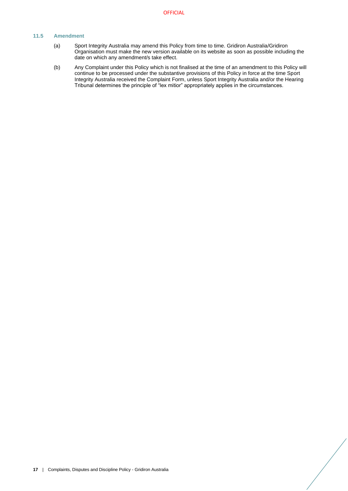# <span id="page-19-0"></span>**11.5 Amendment**

- (a) Sport Integrity Australia may amend this Policy from time to time. Gridiron Australia/Gridiron Organisation must make the new version available on its website as soon as possible including the date on which any amendment/s take effect.
- (b) Any Complaint under this Policy which is not finalised at the time of an amendment to this Policy will continue to be processed under the substantive provisions of this Policy in force at the time Sport Integrity Australia received the Complaint Form, unless Sport Integrity Australia and/or the Hearing Tribunal determines the principle of "lex mitior" appropriately applies in the circumstances.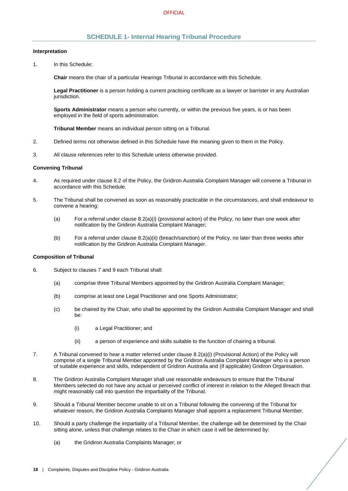# **SCHEDULE 1- Internal Hearing Tribunal Procedure**

#### <span id="page-20-0"></span>**Interpretation**

1. In this Schedule:

**Chair** means the chair of a particular Hearings Tribunal in accordance with this Schedule.

**Legal Practitioner** is a person holding a current practising certificate as a lawyer or barrister in any Australian jurisdiction.

**Sports Administrator** means a person who currently, or within the previous five years, is or has been employed in the field of sports administration.

**Tribunal Member** means an individual person sitting on a Tribunal.

- 2. Defined terms not otherwise defined in this Schedule have the meaning given to them in the Policy.
- 3. All clause references refer to this Schedule unless otherwise provided.

#### **Convening Tribunal**

- 4. As required under claus[e 8.2](#page-15-2) of the Policy, the Gridiron Australia Complaint Manager will convene a Tribunal in accordance with this Schedule.
- 5. The Tribunal shall be convened as soon as reasonably practicable in the circumstances, and shall endeavour to convene a hearing:
	- (a) For a referral under clause [8.2\(a\)\(i\)](#page-15-11) (provisional action) of the Policy, no later than one week after notification by the Gridiron Australia Complaint Manager;
	- (b) For a referral under clause [8.2\(a\)\(ii\)](#page-15-9) (breach/sanction) of the Policy, no later than three weeks after notification by the Gridiron Australia Complaint Manager.

## **Composition of Tribunal**

- 6. Subject to clause[s 7](#page-13-0) and [9](#page-16-0) each Tribunal shall:
	- (a) comprise three Tribunal Members appointed by the Gridiron Australia Complaint Manager;
	- (b) comprise at least one Legal Practitioner and one Sports Administrator;
	- (c) be chaired by the Chair, who shall be appointed by the Gridiron Australia Complaint Manager and shall be:
		- (i) a Legal Practitioner; and
		- (ii) a person of experience and skills suitable to the function of chairing a tribunal.
- 7. A Tribunal convened to hear a matter referred under clause [8.2\(a\)\(i\)](#page-15-11) (Provisional Action) of the Policy will comprise of a single Tribunal Member appointed by the Gridiron Australia Complaint Manager who is a person of suitable experience and skills, independent of Gridiron Australia and (if applicable) Gridiron Organisation.
- 8. The Gridiron Australia Complaint Manager shall use reasonable endeavours to ensure that the Tribunal Members selected do not have any actual or perceived conflict of interest in relation to the Alleged Breach that might reasonably call into question the impartiality of the Tribunal.
- 9. Should a Tribunal Member become unable to sit on a Tribunal following the convening of the Tribunal for whatever reason, the Gridiron Australia Complaints Manager shall appoint a replacement Tribunal Member.
- 10. Should a party challenge the impartiality of a Tribunal Member, the challenge will be determined by the Chair sitting alone, unless that challenge relates to the Chair in which case it will be determined by:
	- (a) the Gridiron Australia Complaints Manager; or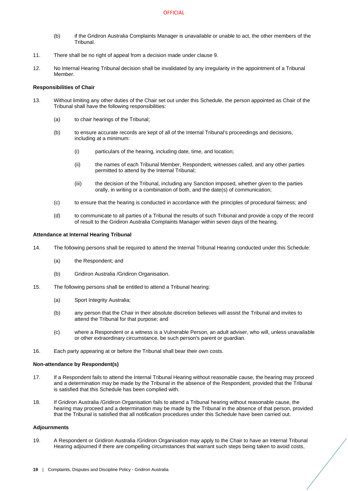- (b) if the Gridiron Australia Complaints Manager is unavailable or unable to act, the other members of the Tribunal.
- 11. There shall be no right of appeal from a decision made under clause 9.
- 12. No Internal Hearing Tribunal decision shall be invalidated by any irregularity in the appointment of a Tribunal Member.

# **Responsibilities of Chair**

- 13. Without limiting any other duties of the Chair set out under this Schedule, the person appointed as Chair of the Tribunal shall have the following responsibilities:
	- (a) to chair hearings of the Tribunal;
	- (b) to ensure accurate records are kept of all of the Internal Tribunal's proceedings and decisions, including at a minimum:
		- (i) particulars of the hearing, including date, time, and location;
		- (ii) the names of each Tribunal Member, Respondent, witnesses called, and any other parties permitted to attend by the Internal Tribunal;
		- (iii) the decision of the Tribunal, including any Sanction imposed, whether given to the parties orally, in writing or a combination of both, and the date(s) of communication;
	- (c) to ensure that the hearing is conducted in accordance with the principles of procedural fairness; and
	- (d) to communicate to all parties of a Tribunal the results of such Tribunal and provide a copy of the record of result to the Gridiron Australia Complaints Manager within seven days of the hearing.

#### **Attendance at Internal Hearing Tribunal**

- 14. The following persons shall be required to attend the Internal Tribunal Hearing conducted under this Schedule:
	- (a) the Respondent; and
	- (b) Gridiron Australia /Gridiron Organisation.
- 15. The following persons shall be entitled to attend a Tribunal hearing:
	- (a) Sport Integrity Australia;
	- (b) any person that the Chair in their absolute discretion believes will assist the Tribunal and invites to attend the Tribunal for that purpose; and
	- (c) where a Respondent or a witness is a Vulnerable Person, an adult adviser, who will, unless unavailable or other extraordinary circumstance, be such person's parent or guardian.
- 16. Each party appearing at or before the Tribunal shall bear their own costs.

#### **Non-attendance by Respondent(s)**

- 17. If a Respondent fails to attend the Internal Tribunal Hearing without reasonable cause, the hearing may proceed and a determination may be made by the Tribunal in the absence of the Respondent, provided that the Tribunal is satisfied that this Schedule has been complied with.
- 18. If Gridiron Australia /Gridiron Organisation fails to attend a Tribunal hearing without reasonable cause, the hearing may proceed and a determination may be made by the Tribunal in the absence of that person, provided that the Tribunal is satisfied that all notification procedures under this Schedule have been carried out.

#### **Adjournments**

19. A Respondent or Gridiron Australia /Gridiron Organisation may apply to the Chair to have an Internal Tribunal Hearing adjourned if there are compelling circumstances that warrant such steps being taken to avoid costs,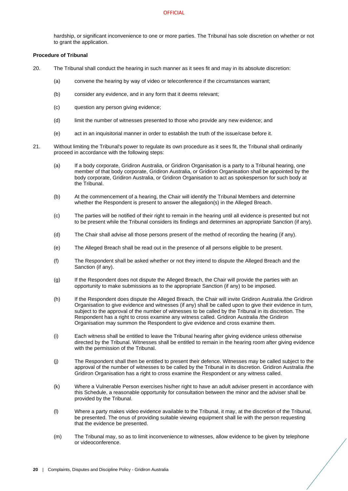hardship, or significant inconvenience to one or more parties. The Tribunal has sole discretion on whether or not to grant the application.

# **Procedure of Tribunal**

- 20. The Tribunal shall conduct the hearing in such manner as it sees fit and may in its absolute discretion:
	- (a) convene the hearing by way of video or teleconference if the circumstances warrant;
	- (b) consider any evidence, and in any form that it deems relevant;
	- (c) question any person giving evidence;
	- (d) limit the number of witnesses presented to those who provide any new evidence; and
	- (e) act in an inquisitorial manner in order to establish the truth of the issue/case before it.
- 21. Without limiting the Tribunal's power to regulate its own procedure as it sees fit, the Tribunal shall ordinarily proceed in accordance with the following steps:
	- (a) If a body corporate, Gridiron Australia, or Gridiron Organisation is a party to a Tribunal hearing, one member of that body corporate, Gridiron Australia, or Gridiron Organisation shall be appointed by the body corporate, Gridiron Australia, or Gridiron Organisation to act as spokesperson for such body at the Tribunal.
	- (b) At the commencement of a hearing, the Chair will identify the Tribunal Members and determine whether the Respondent is present to answer the allegation(s) in the Alleged Breach.
	- (c) The parties will be notified of their right to remain in the hearing until all evidence is presented but not to be present while the Tribunal considers its findings and determines an appropriate Sanction (if any).
	- (d) The Chair shall advise all those persons present of the method of recording the hearing (if any).
	- (e) The Alleged Breach shall be read out in the presence of all persons eligible to be present.
	- (f) The Respondent shall be asked whether or not they intend to dispute the Alleged Breach and the Sanction (if any).
	- (g) If the Respondent does not dispute the Alleged Breach, the Chair will provide the parties with an opportunity to make submissions as to the appropriate Sanction (if any) to be imposed.
	- (h) If the Respondent does dispute the Alleged Breach, the Chair will invite Gridiron Australia /the Gridiron Organisation to give evidence and witnesses (if any) shall be called upon to give their evidence in turn, subject to the approval of the number of witnesses to be called by the Tribunal in its discretion. The Respondent has a right to cross examine any witness called. Gridiron Australia /the Gridiron Organisation may summon the Respondent to give evidence and cross examine them.
	- (i) Each witness shall be entitled to leave the Tribunal hearing after giving evidence unless otherwise directed by the Tribunal. Witnesses shall be entitled to remain in the hearing room after giving evidence with the permission of the Tribunal.
	- (j) The Respondent shall then be entitled to present their defence. Witnesses may be called subject to the approval of the number of witnesses to be called by the Tribunal in its discretion. Gridiron Australia /the Gridiron Organisation has a right to cross examine the Respondent or any witness called.
	- (k) Where a Vulnerable Person exercises his/her right to have an adult adviser present in accordance with this Schedule, a reasonable opportunity for consultation between the minor and the adviser shall be provided by the Tribunal.
	- (l) Where a party makes video evidence available to the Tribunal, it may, at the discretion of the Tribunal, be presented. The onus of providing suitable viewing equipment shall lie with the person requesting that the evidence be presented.
	- (m) The Tribunal may, so as to limit inconvenience to witnesses, allow evidence to be given by telephone or videoconference.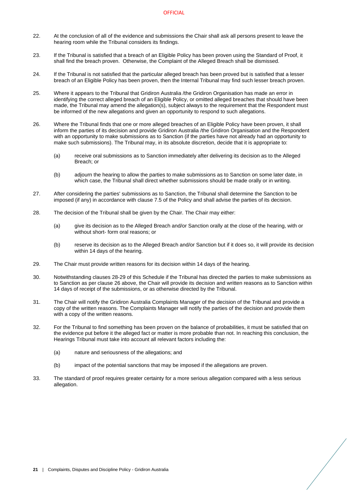- 22. At the conclusion of all of the evidence and submissions the Chair shall ask all persons present to leave the hearing room while the Tribunal considers its findings.
- 23. If the Tribunal is satisfied that a breach of an Eligible Policy has been proven using the Standard of Proof, it shall find the breach proven. Otherwise, the Complaint of the Alleged Breach shall be dismissed.
- 24. If the Tribunal is not satisfied that the particular alleged breach has been proved but is satisfied that a lesser breach of an Eligible Policy has been proven, then the Internal Tribunal may find such lesser breach proven.
- 25. Where it appears to the Tribunal that Gridiron Australia /the Gridiron Organisation has made an error in identifying the correct alleged breach of an Eligible Policy, or omitted alleged breaches that should have been made, the Tribunal may amend the allegation(s), subject always to the requirement that the Respondent must be informed of the new allegations and given an opportunity to respond to such allegations.
- <span id="page-23-2"></span>26. Where the Tribunal finds that one or more alleged breaches of an Eligible Policy have been proven, it shall inform the parties of its decision and provide Gridiron Australia /the Gridiron Organisation and the Respondent with an opportunity to make submissions as to Sanction (if the parties have not already had an opportunity to make such submissions). The Tribunal may, in its absolute discretion, decide that it is appropriate to:
	- (a) receive oral submissions as to Sanction immediately after delivering its decision as to the Alleged Breach; or
	- (b) adjourn the hearing to allow the parties to make submissions as to Sanction on some later date, in which case, the Tribunal shall direct whether submissions should be made orally or in writing.
- 27. After considering the parties' submissions as to Sanction, the Tribunal shall determine the Sanction to be imposed (if any) in accordance with clause [7.5](#page-14-1) of the Policy and shall advise the parties of its decision.
- <span id="page-23-0"></span>28. The decision of the Tribunal shall be given by the Chair. The Chair may either:
	- (a) give its decision as to the Alleged Breach and/or Sanction orally at the close of the hearing, with or without short- form oral reasons; or
	- (b) reserve its decision as to the Alleged Breach and/or Sanction but if it does so, it will provide its decision within 14 days of the hearing.
- <span id="page-23-1"></span>29. The Chair must provide written reasons for its decision within 14 days of the hearing.
- 30. Notwithstanding clause[s 28](#page-23-0)[-29](#page-23-1) of this Schedule if the Tribunal has directed the parties to make submissions as to Sanction as per claus[e 26](#page-23-2) above, the Chair will provide its decision and written reasons as to Sanction within 14 days of receipt of the submissions, or as otherwise directed by the Tribunal.
- 31. The Chair will notify the Gridiron Australia Complaints Manager of the decision of the Tribunal and provide a copy of the written reasons. The Complaints Manager will notify the parties of the decision and provide them with a copy of the written reasons.
- 32. For the Tribunal to find something has been proven on the balance of probabilities, it must be satisfied that on the evidence put before it the alleged fact or matter is more probable than not. In reaching this conclusion, the Hearings Tribunal must take into account all relevant factors including the:
	- (a) nature and seriousness of the allegations; and
	- (b) impact of the potential sanctions that may be imposed if the allegations are proven.
- 33. The standard of proof requires greater certainty for a more serious allegation compared with a less serious allegation.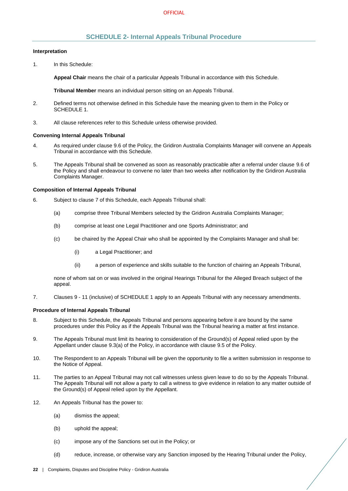# **SCHEDULE 2- Internal Appeals Tribunal Procedure**

#### <span id="page-24-0"></span>**Interpretation**

1. In this Schedule:

**Appeal Chair** means the chair of a particular Appeals Tribunal in accordance with this Schedule.

**Tribunal Member** means an individual person sitting on an Appeals Tribunal.

- 2. Defined terms not otherwise defined in this Schedule have the meaning given to them in the Policy or [SCHEDULE 1.](#page-20-0)
- 3. All clause references refer to this Schedule unless otherwise provided.

#### **Convening Internal Appeals Tribunal**

- 4. As required under claus[e 9.6](#page-17-1) of the Policy, the Gridiron Australia Complaints Manager will convene an Appeals Tribunal in accordance with this Schedule.
- 5. The Appeals Tribunal shall be convened as soon as reasonably practicable after a referral under clause [9.6](#page-17-1) of the Policy and shall endeavour to convene no later than two weeks after notification by the Gridiron Australia Complaints Manager.

#### **Composition of Internal Appeals Tribunal**

- 6. Subject to clause [7](#page-24-1) of this Schedule, each Appeals Tribunal shall:
	- (a) comprise three Tribunal Members selected by the Gridiron Australia Complaints Manager;
	- (b) comprise at least one Legal Practitioner and one Sports Administrator; and
	- (c) be chaired by the Appeal Chair who shall be appointed by the Complaints Manager and shall be:
		- (i) a Legal Practitioner; and
		- (ii) a person of experience and skills suitable to the function of chairing an Appeals Tribunal,

none of whom sat on or was involved in the original Hearings Tribunal for the Alleged Breach subject of the appeal.

<span id="page-24-1"></span>7. Clauses 9 - 11 (inclusive) o[f SCHEDULE 1](#page-20-0) apply to an Appeals Tribunal with any necessary amendments.

## **Procedure of Internal Appeals Tribunal**

- 8. Subject to this Schedule, the Appeals Tribunal and persons appearing before it are bound by the same procedures under this Policy as if the Appeals Tribunal was the Tribunal hearing a matter at first instance.
- 9. The Appeals Tribunal must limit its hearing to consideration of the Ground(s) of Appeal relied upon by the Appellant under clause [9.3\(a\)](#page-16-7) of the Policy, in accordance with clause [9.5](#page-17-0) of the Policy.
- 10. The Respondent to an Appeals Tribunal will be given the opportunity to file a written submission in response to the Notice of Appeal.
- 11. The parties to an Appeal Tribunal may not call witnesses unless given leave to do so by the Appeals Tribunal. The Appeals Tribunal will not allow a party to call a witness to give evidence in relation to any matter outside of the Ground(s) of Appeal relied upon by the Appellant.
- 12. An Appeals Tribunal has the power to:
	- (a) dismiss the appeal;
	- (b) uphold the appeal;
	- (c) impose any of the Sanctions set out in the Policy; or
	- (d) reduce, increase, or otherwise vary any Sanction imposed by the Hearing Tribunal under the Policy,